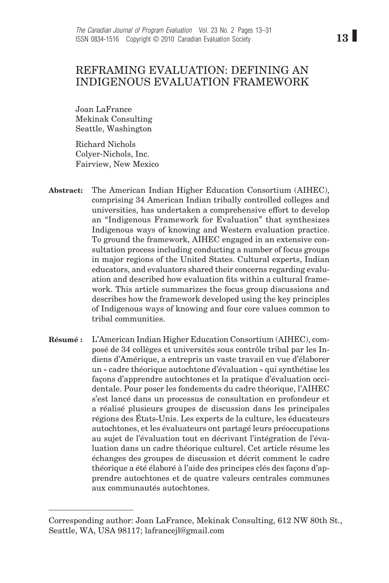# REFRAMING EVALUATION: DEFINING AN INDIGENOUS EVALUATION FRAMEWORK

Joan LaFrance Mekinak Consulting Seattle, Washington

Richard Nichols Colyer-Nichols, Inc. Fairview, New Mexico

- The American Indian Higher Education Consortium (AIHEC), comprising 34 American Indian tribally controlled colleges and universities, has undertaken a comprehensive effort to develop an "Indigenous Framework for Evaluation" that synthesizes Indigenous ways of knowing and Western evaluation practice. To ground the framework, AIHEC engaged in an extensive consultation process including conducting a number of focus groups in major regions of the United States. Cultural experts, Indian educators, and evaluators shared their concerns regarding evaluation and described how evaluation fits within a cultural framework. This article summarizes the focus group discussions and describes how the framework developed using the key principles of Indigenous ways of knowing and four core values common to tribal communities. **Abstract:**
- L'American Indian Higher Education Consortium (AIHEC), composé de 34 collèges et universités sous contrôle tribal par les Indiens d'Amérique, a entrepris un vaste travail en vue d'élaborer un « cadre théorique autochtone d'évaluation » qui synthétise les façons d'apprendre autochtones et la pratique d'évaluation occidentale. Pour poser les fondements du cadre théorique, l'AIHEC s'est lancé dans un processus de consultation en profondeur et a réalisé plusieurs groupes de discussion dans les principales régions des États-Unis. Les experts de la culture, les éducateurs autochtones, et les évaluateurs ont partagé leurs préoccupations au sujet de l'évaluation tout en décrivant l'intégration de l'évaluation dans un cadre théorique culturel. Cet article résume les échanges des groupes de discussion et décrit comment le cadre théorique a été élaboré à l'aide des principes clés des façons d'apprendre autochtones et de quatre valeurs centrales communes aux communautés autochtones. **Résumé :**

Corresponding author: Joan LaFrance, Mekinak Consulting, 612 NW 80th St., Seattle, WA, USA 98117; lafrancejl@gmail.com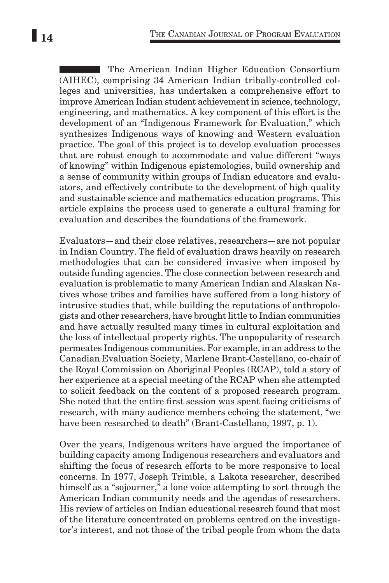**The American Indian Higher Education Consortium** (AIHEC), comprising 34 American Indian tribally-controlled colleges and universities, has undertaken a comprehensive effort to improve American Indian student achievement in science, technology, engineering, and mathematics. A key component of this effort is the development of an "Indigenous Framework for Evaluation," which synthesizes Indigenous ways of knowing and Western evaluation practice. The goal of this project is to develop evaluation processes that are robust enough to accommodate and value different "ways of knowing" within Indigenous epistemologies, build ownership and a sense of community within groups of Indian educators and evaluators, and effectively contribute to the development of high quality and sustainable science and mathematics education programs. This article explains the process used to generate a cultural framing for evaluation and describes the foundations of the framework.

Evaluators—and their close relatives, researchers—are not popular in Indian Country. The field of evaluation draws heavily on research methodologies that can be considered invasive when imposed by outside funding agencies. The close connection between research and evaluation is problematic to many American Indian and Alaskan Natives whose tribes and families have suffered from a long history of intrusive studies that, while building the reputations of anthropologists and other researchers, have brought little to Indian communities and have actually resulted many times in cultural exploitation and the loss of intellectual property rights. The unpopularity of research permeates Indigenous communities. For example, in an address to the Canadian Evaluation Society, Marlene Brant-Castellano, co-chair of the Royal Commission on Aboriginal Peoples (RCAP), told a story of her experience at a special meeting of the RCAP when she attempted to solicit feedback on the content of a proposed research program. She noted that the entire first session was spent facing criticisms of research, with many audience members echoing the statement, "we have been researched to death" (Brant-Castellano, 1997, p. 1).

Over the years, Indigenous writers have argued the importance of building capacity among Indigenous researchers and evaluators and shifting the focus of research efforts to be more responsive to local concerns. In 1977, Joseph Trimble, a Lakota researcher, described himself as a "sojourner," a lone voice attempting to sort through the American Indian community needs and the agendas of researchers. His review of articles on Indian educational research found that most of the literature concentrated on problems centred on the investigator's interest, and not those of the tribal people from whom the data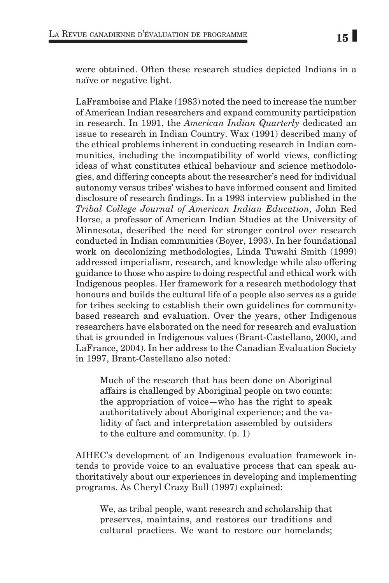were obtained. Often these research studies depicted Indians in a naïve or negative light.

LaFramboise and Plake (1983) noted the need to increase the number of American Indian researchers and expand community participation in research. In 1991, the *American Indian Quarterly* dedicated an issue to research in Indian Country. Wax (1991) described many of the ethical problems inherent in conducting research in Indian communities, including the incompatibility of world views, conflicting ideas of what constitutes ethical behaviour and science methodologies, and differing concepts about the researcher's need for individual autonomy versus tribes' wishes to have informed consent and limited disclosure of research findings. In a 1993 interview published in the *Tribal College Journal of American Indian Education,* John Red Horse, a professor of American Indian Studies at the University of Minnesota, described the need for stronger control over research conducted in Indian communities (Boyer, 1993). In her foundational work on decolonizing methodologies, Linda Tuwahi Smith (1999) addressed imperialism, research, and knowledge while also offering guidance to those who aspire to doing respectful and ethical work with Indigenous peoples. Her framework for a research methodology that honours and builds the cultural life of a people also serves as a guide for tribes seeking to establish their own guidelines for communitybased research and evaluation. Over the years, other Indigenous researchers have elaborated on the need for research and evaluation that is grounded in Indigenous values (Brant-Castellano, 2000, and LaFrance, 2004). In her address to the Canadian Evaluation Society in 1997, Brant-Castellano also noted:

Much of the research that has been done on Aboriginal affairs is challenged by Aboriginal people on two counts: the appropriation of voice—who has the right to speak authoritatively about Aboriginal experience; and the validity of fact and interpretation assembled by outsiders to the culture and community. (p. 1)

AIHEC's development of an Indigenous evaluation framework intends to provide voice to an evaluative process that can speak authoritatively about our experiences in developing and implementing programs. As Cheryl Crazy Bull (1997) explained:

We, as tribal people, want research and scholarship that preserves, maintains, and restores our traditions and cultural practices. We want to restore our homelands;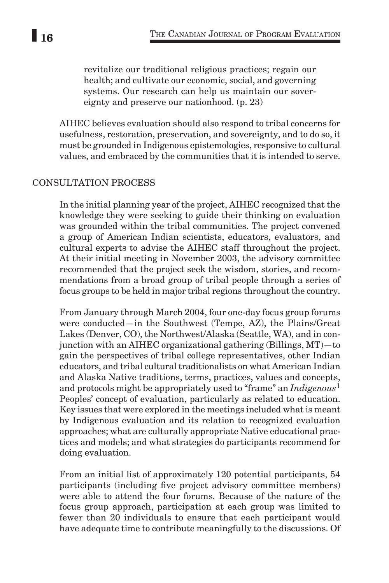revitalize our traditional religious practices; regain our health; and cultivate our economic, social, and governing systems. Our research can help us maintain our sovereignty and preserve our nationhood. (p. 23)

AIHEC believes evaluation should also respond to tribal concerns for usefulness, restoration, preservation, and sovereignty, and to do so, it must be grounded in Indigenous epistemologies, responsive to cultural values, and embraced by the communities that it is intended to serve.

### CONSULTATION PROCESS

In the initial planning year of the project, AIHEC recognized that the knowledge they were seeking to guide their thinking on evaluation was grounded within the tribal communities. The project convened a group of American Indian scientists, educators, evaluators, and cultural experts to advise the AIHEC staff throughout the project. At their initial meeting in November 2003, the advisory committee recommended that the project seek the wisdom, stories, and recommendations from a broad group of tribal people through a series of focus groups to be held in major tribal regions throughout the country.

From January through March 2004, four one-day focus group forums were conducted—in the Southwest (Tempe, AZ), the Plains/Great Lakes (Denver, CO), the Northwest/Alaska (Seattle, WA), and in conjunction with an AIHEC organizational gathering (Billings, MT)—to gain the perspectives of tribal college representatives, other Indian educators, and tribal cultural traditionalists on what American Indian and Alaska Native traditions, terms, practices, values and concepts, and protocols might be appropriately used to "frame" an *Indigenous*1 Peoples' concept of evaluation, particularly as related to education. Key issues that were explored in the meetings included what is meant by Indigenous evaluation and its relation to recognized evaluation approaches; what are culturally appropriate Native educational practices and models; and what strategies do participants recommend for doing evaluation.

From an initial list of approximately 120 potential participants, 54 participants (including five project advisory committee members) were able to attend the four forums. Because of the nature of the focus group approach, participation at each group was limited to fewer than 20 individuals to ensure that each participant would have adequate time to contribute meaningfully to the discussions. Of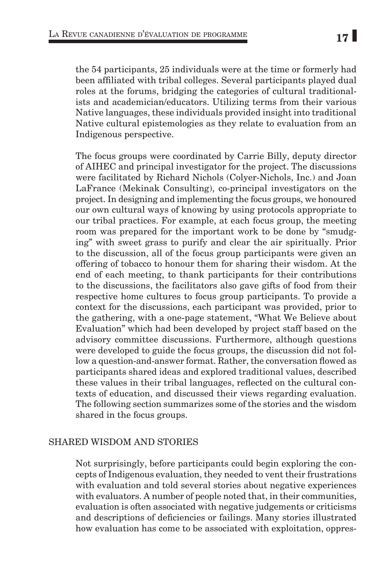the 54 participants, 25 individuals were at the time or formerly had been affiliated with tribal colleges. Several participants played dual roles at the forums, bridging the categories of cultural traditionalists and academician/educators. Utilizing terms from their various Native languages, these individuals provided insight into traditional Native cultural epistemologies as they relate to evaluation from an Indigenous perspective.

The focus groups were coordinated by Carrie Billy, deputy director of AIHEC and principal investigator for the project. The discussions were facilitated by Richard Nichols (Colyer-Nichols, Inc.) and Joan LaFrance (Mekinak Consulting), co-principal investigators on the project. In designing and implementing the focus groups, we honoured our own cultural ways of knowing by using protocols appropriate to our tribal practices. For example, at each focus group, the meeting room was prepared for the important work to be done by "smudging" with sweet grass to purify and clear the air spiritually. Prior to the discussion, all of the focus group participants were given an offering of tobacco to honour them for sharing their wisdom. At the end of each meeting, to thank participants for their contributions to the discussions, the facilitators also gave gifts of food from their respective home cultures to focus group participants. To provide a context for the discussions, each participant was provided, prior to the gathering, with a one-page statement, "What We Believe about Evaluation" which had been developed by project staff based on the advisory committee discussions. Furthermore, although questions were developed to guide the focus groups, the discussion did not follow a question-and-answer format. Rather, the conversation flowed as participants shared ideas and explored traditional values, described these values in their tribal languages, reflected on the cultural contexts of education, and discussed their views regarding evaluation. The following section summarizes some of the stories and the wisdom shared in the focus groups.

# SHARED WISDOM AND STORIES

Not surprisingly, before participants could begin exploring the concepts of Indigenous evaluation, they needed to vent their frustrations with evaluation and told several stories about negative experiences with evaluators. A number of people noted that, in their communities, evaluation is often associated with negative judgements or criticisms and descriptions of deficiencies or failings. Many stories illustrated how evaluation has come to be associated with exploitation, oppres-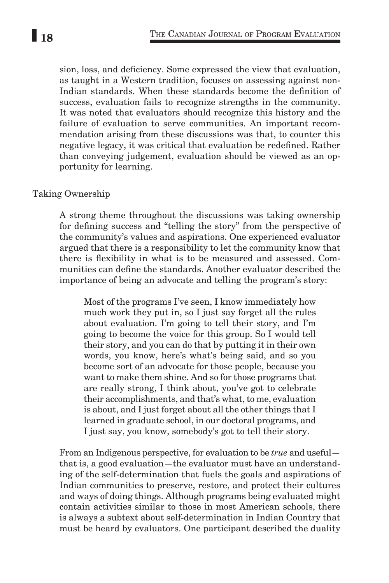sion, loss, and deficiency. Some expressed the view that evaluation, as taught in a Western tradition, focuses on assessing against non-Indian standards. When these standards become the definition of success, evaluation fails to recognize strengths in the community. It was noted that evaluators should recognize this history and the failure of evaluation to serve communities. An important recommendation arising from these discussions was that, to counter this negative legacy, it was critical that evaluation be redefined. Rather than conveying judgement, evaluation should be viewed as an opportunity for learning.

### Taking Ownership

A strong theme throughout the discussions was taking ownership for defining success and "telling the story" from the perspective of the community's values and aspirations. One experienced evaluator argued that there is a responsibility to let the community know that there is flexibility in what is to be measured and assessed. Communities can define the standards. Another evaluator described the importance of being an advocate and telling the program's story:

Most of the programs I've seen, I know immediately how much work they put in, so I just say forget all the rules about evaluation. I'm going to tell their story, and I'm going to become the voice for this group. So I would tell their story, and you can do that by putting it in their own words, you know, here's what's being said, and so you become sort of an advocate for those people, because you want to make them shine. And so for those programs that are really strong, I think about, you've got to celebrate their accomplishments, and that's what, to me, evaluation is about, and I just forget about all the other things that I learned in graduate school, in our doctoral programs, and I just say, you know, somebody's got to tell their story.

From an Indigenous perspective, for evaluation to be *true* and useful that is, a good evaluation—the evaluator must have an understanding of the self-determination that fuels the goals and aspirations of Indian communities to preserve, restore, and protect their cultures and ways of doing things. Although programs being evaluated might contain activities similar to those in most American schools, there is always a subtext about self-determination in Indian Country that must be heard by evaluators. One participant described the duality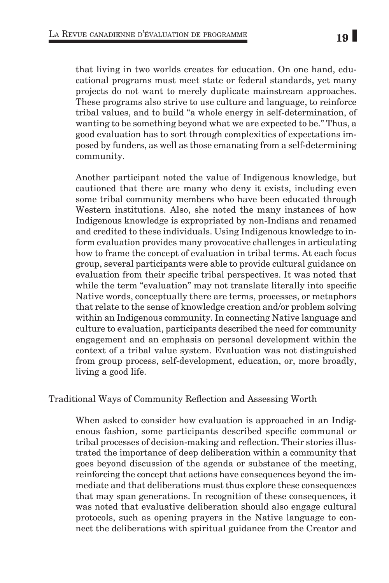that living in two worlds creates for education. On one hand, educational programs must meet state or federal standards, yet many projects do not want to merely duplicate mainstream approaches. These programs also strive to use culture and language, to reinforce tribal values, and to build "a whole energy in self-determination, of wanting to be something beyond what we are expected to be." Thus, a good evaluation has to sort through complexities of expectations imposed by funders, as well as those emanating from a self-determining community.

Another participant noted the value of Indigenous knowledge, but cautioned that there are many who deny it exists, including even some tribal community members who have been educated through Western institutions. Also, she noted the many instances of how Indigenous knowledge is expropriated by non-Indians and renamed and credited to these individuals. Using Indigenous knowledge to inform evaluation provides many provocative challenges in articulating how to frame the concept of evaluation in tribal terms. At each focus group, several participants were able to provide cultural guidance on evaluation from their specific tribal perspectives. It was noted that while the term "evaluation" may not translate literally into specific Native words, conceptually there are terms, processes, or metaphors that relate to the sense of knowledge creation and/or problem solving within an Indigenous community. In connecting Native language and culture to evaluation, participants described the need for community engagement and an emphasis on personal development within the context of a tribal value system. Evaluation was not distinguished from group process, self-development, education, or, more broadly, living a good life.

# Traditional Ways of Community Reflection and Assessing Worth

When asked to consider how evaluation is approached in an Indigenous fashion, some participants described specific communal or tribal processes of decision-making and reflection. Their stories illustrated the importance of deep deliberation within a community that goes beyond discussion of the agenda or substance of the meeting, reinforcing the concept that actions have consequences beyond the immediate and that deliberations must thus explore these consequences that may span generations. In recognition of these consequences, it was noted that evaluative deliberation should also engage cultural protocols, such as opening prayers in the Native language to connect the deliberations with spiritual guidance from the Creator and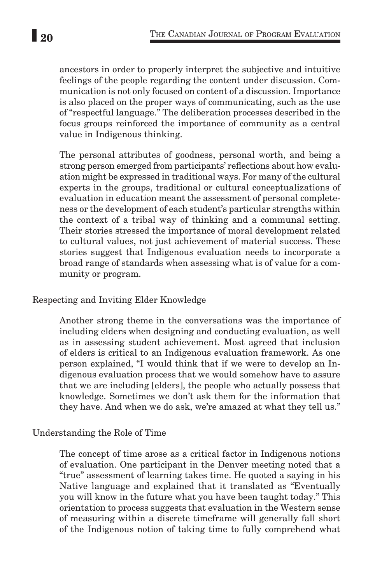ancestors in order to properly interpret the subjective and intuitive feelings of the people regarding the content under discussion. Communication is not only focused on content of a discussion. Importance is also placed on the proper ways of communicating, such as the use of "respectful language." The deliberation processes described in the focus groups reinforced the importance of community as a central value in Indigenous thinking.

The personal attributes of goodness, personal worth, and being a strong person emerged from participants' reflections about how evaluation might be expressed in traditional ways. For many of the cultural experts in the groups, traditional or cultural conceptualizations of evaluation in education meant the assessment of personal completeness or the development of each student's particular strengths within the context of a tribal way of thinking and a communal setting. Their stories stressed the importance of moral development related to cultural values, not just achievement of material success. These stories suggest that Indigenous evaluation needs to incorporate a broad range of standards when assessing what is of value for a community or program.

Respecting and Inviting Elder Knowledge

Another strong theme in the conversations was the importance of including elders when designing and conducting evaluation, as well as in assessing student achievement. Most agreed that inclusion of elders is critical to an Indigenous evaluation framework. As one person explained, "I would think that if we were to develop an Indigenous evaluation process that we would somehow have to assure that we are including [elders], the people who actually possess that knowledge. Sometimes we don't ask them for the information that they have. And when we do ask, we're amazed at what they tell us."

## Understanding the Role of Time

The concept of time arose as a critical factor in Indigenous notions of evaluation. One participant in the Denver meeting noted that a "true" assessment of learning takes time. He quoted a saying in his Native language and explained that it translated as "Eventually you will know in the future what you have been taught today." This orientation to process suggests that evaluation in the Western sense of measuring within a discrete timeframe will generally fall short of the Indigenous notion of taking time to fully comprehend what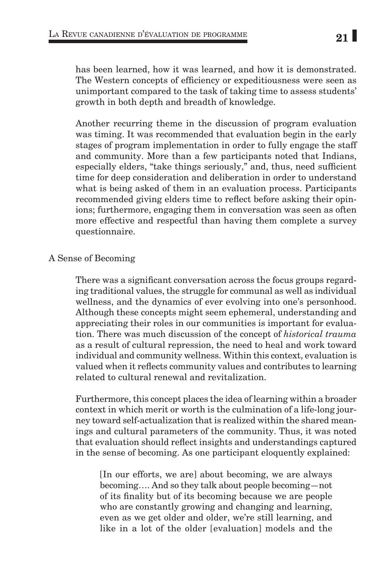has been learned, how it was learned, and how it is demonstrated. The Western concepts of efficiency or expeditiousness were seen as unimportant compared to the task of taking time to assess students' growth in both depth and breadth of knowledge.

Another recurring theme in the discussion of program evaluation was timing. It was recommended that evaluation begin in the early stages of program implementation in order to fully engage the staff and community. More than a few participants noted that Indians, especially elders, "take things seriously," and, thus, need sufficient time for deep consideration and deliberation in order to understand what is being asked of them in an evaluation process. Participants recommended giving elders time to reflect before asking their opinions; furthermore, engaging them in conversation was seen as often more effective and respectful than having them complete a survey questionnaire.

### A Sense of Becoming

There was a significant conversation across the focus groups regarding traditional values, the struggle for communal as well as individual wellness, and the dynamics of ever evolving into one's personhood. Although these concepts might seem ephemeral, understanding and appreciating their roles in our communities is important for evaluation. There was much discussion of the concept of *historical trauma* as a result of cultural repression, the need to heal and work toward individual and community wellness. Within this context, evaluation is valued when it reflects community values and contributes to learning related to cultural renewal and revitalization.

Furthermore, this concept places the idea of learning within a broader context in which merit or worth is the culmination of a life-long journey toward self-actualization that is realized within the shared meanings and cultural parameters of the community. Thus, it was noted that evaluation should reflect insights and understandings captured in the sense of becoming. As one participant eloquently explained:

[In our efforts, we are] about becoming, we are always becoming…. And so they talk about people becoming—not of its finality but of its becoming because we are people who are constantly growing and changing and learning, even as we get older and older, we're still learning, and like in a lot of the older [evaluation] models and the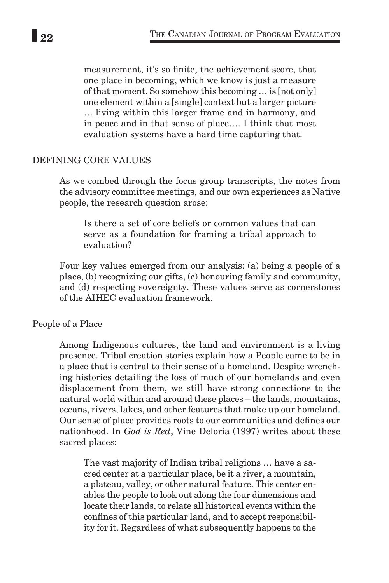measurement, it's so finite, the achievement score, that one place in becoming, which we know is just a measure of that moment. So somehow this becoming … is [not only] one element within a [single] context but a larger picture … living within this larger frame and in harmony, and in peace and in that sense of place…. I think that most evaluation systems have a hard time capturing that.

### DEFINING CORE VALUES

As we combed through the focus group transcripts, the notes from the advisory committee meetings, and our own experiences as Native people, the research question arose:

Is there a set of core beliefs or common values that can serve as a foundation for framing a tribal approach to evaluation?

Four key values emerged from our analysis: (a) being a people of a place, (b) recognizing our gifts, (c) honouring family and community, and (d) respecting sovereignty. These values serve as cornerstones of the AIHEC evaluation framework.

#### People of a Place

Among Indigenous cultures, the land and environment is a living presence. Tribal creation stories explain how a People came to be in a place that is central to their sense of a homeland. Despite wrenching histories detailing the loss of much of our homelands and even displacement from them, we still have strong connections to the natural world within and around these places – the lands, mountains, oceans, rivers, lakes, and other features that make up our homeland. Our sense of place provides roots to our communities and defines our nationhood. In *God is Red*, Vine Deloria (1997) writes about these sacred places:

The vast majority of Indian tribal religions … have a sacred center at a particular place, be it a river, a mountain, a plateau, valley, or other natural feature. This center enables the people to look out along the four dimensions and locate their lands, to relate all historical events within the confines of this particular land, and to accept responsibility for it. Regardless of what subsequently happens to the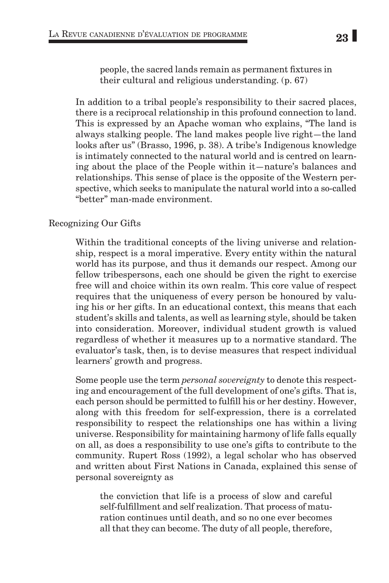people, the sacred lands remain as permanent fixtures in their cultural and religious understanding. (p. 67)

In addition to a tribal people's responsibility to their sacred places, there is a reciprocal relationship in this profound connection to land. This is expressed by an Apache woman who explains, "The land is always stalking people. The land makes people live right—the land looks after us" (Brasso, 1996, p. 38). A tribe's Indigenous knowledge is intimately connected to the natural world and is centred on learning about the place of the People within it—nature's balances and relationships. This sense of place is the opposite of the Western perspective, which seeks to manipulate the natural world into a so-called "better" man-made environment.

## Recognizing Our Gifts

Within the traditional concepts of the living universe and relationship, respect is a moral imperative. Every entity within the natural world has its purpose, and thus it demands our respect. Among our fellow tribespersons, each one should be given the right to exercise free will and choice within its own realm. This core value of respect requires that the uniqueness of every person be honoured by valuing his or her gifts. In an educational context, this means that each student's skills and talents, as well as learning style, should be taken into consideration. Moreover, individual student growth is valued regardless of whether it measures up to a normative standard. The evaluator's task, then, is to devise measures that respect individual learners' growth and progress.

Some people use the term *personal sovereignty* to denote this respecting and encouragement of the full development of one's gifts. That is, each person should be permitted to fulfill his or her destiny. However, along with this freedom for self-expression, there is a correlated responsibility to respect the relationships one has within a living universe. Responsibility for maintaining harmony of life falls equally on all, as does a responsibility to use one's gifts to contribute to the community. Rupert Ross (1992), a legal scholar who has observed and written about First Nations in Canada, explained this sense of personal sovereignty as

the conviction that life is a process of slow and careful self-fulfillment and self realization. That process of maturation continues until death, and so no one ever becomes all that they can become. The duty of all people, therefore,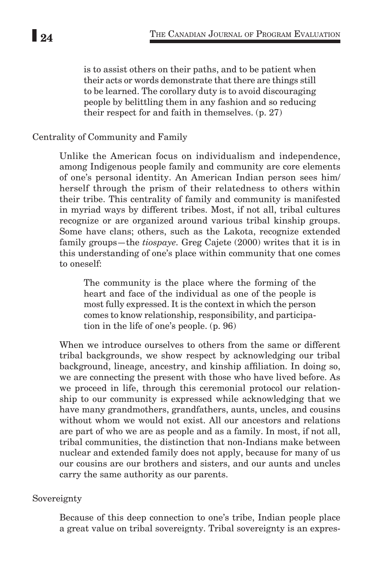is to assist others on their paths, and to be patient when their acts or words demonstrate that there are things still to be learned. The corollary duty is to avoid discouraging people by belittling them in any fashion and so reducing their respect for and faith in themselves. (p. 27)

### Centrality of Community and Family

Unlike the American focus on individualism and independence, among Indigenous people family and community are core elements of one's personal identity. An American Indian person sees him/ herself through the prism of their relatedness to others within their tribe. This centrality of family and community is manifested in myriad ways by different tribes. Most, if not all, tribal cultures recognize or are organized around various tribal kinship groups. Some have clans; others, such as the Lakota, recognize extended family groups—the *tiospaye.* Greg Cajete (2000) writes that it is in this understanding of one's place within community that one comes to oneself:

The community is the place where the forming of the heart and face of the individual as one of the people is most fully expressed. It is the context in which the person comes to know relationship, responsibility, and participation in the life of one's people. (p. 96)

When we introduce ourselves to others from the same or different tribal backgrounds, we show respect by acknowledging our tribal background, lineage, ancestry, and kinship affiliation. In doing so, we are connecting the present with those who have lived before. As we proceed in life, through this ceremonial protocol our relationship to our community is expressed while acknowledging that we have many grandmothers, grandfathers, aunts, uncles, and cousins without whom we would not exist. All our ancestors and relations are part of who we are as people and as a family. In most, if not all, tribal communities, the distinction that non-Indians make between nuclear and extended family does not apply, because for many of us our cousins are our brothers and sisters, and our aunts and uncles carry the same authority as our parents.

#### Sovereignty

Because of this deep connection to one's tribe, Indian people place a great value on tribal sovereignty. Tribal sovereignty is an expres-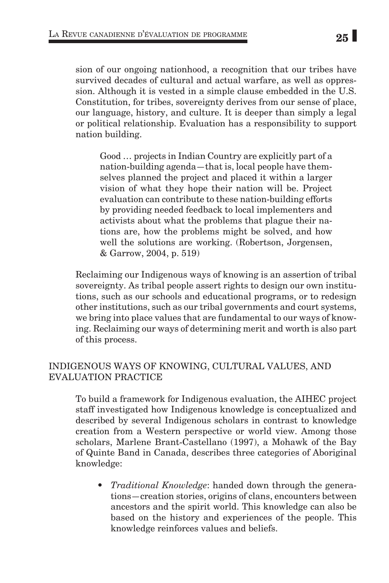sion of our ongoing nationhood, a recognition that our tribes have survived decades of cultural and actual warfare, as well as oppression. Although it is vested in a simple clause embedded in the U.S. Constitution, for tribes, sovereignty derives from our sense of place, our language, history, and culture. It is deeper than simply a legal or political relationship. Evaluation has a responsibility to support nation building.

Good … projects in Indian Country are explicitly part of a nation-building agenda—that is, local people have themselves planned the project and placed it within a larger vision of what they hope their nation will be. Project evaluation can contribute to these nation-building efforts by providing needed feedback to local implementers and activists about what the problems that plague their nations are, how the problems might be solved, and how well the solutions are working. (Robertson, Jorgensen, & Garrow, 2004, p. 519)

Reclaiming our Indigenous ways of knowing is an assertion of tribal sovereignty. As tribal people assert rights to design our own institutions, such as our schools and educational programs, or to redesign other institutions, such as our tribal governments and court systems, we bring into place values that are fundamental to our ways of knowing. Reclaiming our ways of determining merit and worth is also part of this process.

## INDIGENOUS WAYS OF KNOWING, CULTURAL VALUES, AND EVALUATION PRACTICE

To build a framework for Indigenous evaluation, the AIHEC project staff investigated how Indigenous knowledge is conceptualized and described by several Indigenous scholars in contrast to knowledge creation from a Western perspective or world view. Among those scholars, Marlene Brant-Castellano (1997), a Mohawk of the Bay of Quinte Band in Canada, describes three categories of Aboriginal knowledge:

• *Traditional Knowledge*: handed down through the generations—creation stories, origins of clans, encounters between ancestors and the spirit world. This knowledge can also be based on the history and experiences of the people. This knowledge reinforces values and beliefs.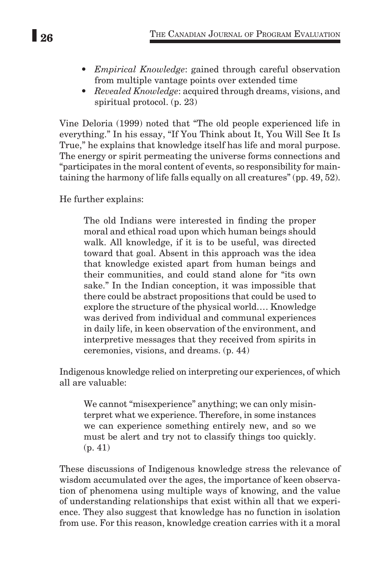- *Empirical Knowledge*: gained through careful observation from multiple vantage points over extended time
- *Revealed Knowledge*: acquired through dreams, visions, and spiritual protocol. (p. 23)

Vine Deloria (1999) noted that "The old people experienced life in everything." In his essay, "If You Think about It, You Will See It Is True," he explains that knowledge itself has life and moral purpose. The energy or spirit permeating the universe forms connections and "participates in the moral content of events, so responsibility for maintaining the harmony of life falls equally on all creatures" (pp. 49, 52).

He further explains:

The old Indians were interested in finding the proper moral and ethical road upon which human beings should walk. All knowledge, if it is to be useful, was directed toward that goal. Absent in this approach was the idea that knowledge existed apart from human beings and their communities, and could stand alone for "its own sake." In the Indian conception, it was impossible that there could be abstract propositions that could be used to explore the structure of the physical world.… Knowledge was derived from individual and communal experiences in daily life, in keen observation of the environment, and interpretive messages that they received from spirits in ceremonies, visions, and dreams. (p. 44)

Indigenous knowledge relied on interpreting our experiences, of which all are valuable:

We cannot "misexperience" anything; we can only misinterpret what we experience. Therefore, in some instances we can experience something entirely new, and so we must be alert and try not to classify things too quickly. (p. 41)

These discussions of Indigenous knowledge stress the relevance of wisdom accumulated over the ages, the importance of keen observation of phenomena using multiple ways of knowing, and the value of understanding relationships that exist within all that we experience. They also suggest that knowledge has no function in isolation from use. For this reason, knowledge creation carries with it a moral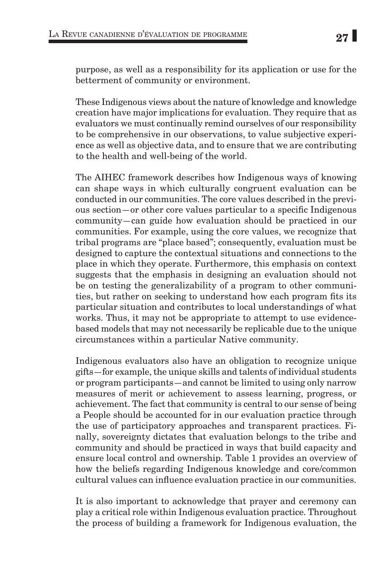purpose, as well as a responsibility for its application or use for the betterment of community or environment.

These Indigenous views about the nature of knowledge and knowledge creation have major implications for evaluation. They require that as evaluators we must continually remind ourselves of our responsibility to be comprehensive in our observations, to value subjective experience as well as objective data, and to ensure that we are contributing to the health and well-being of the world.

The AIHEC framework describes how Indigenous ways of knowing can shape ways in which culturally congruent evaluation can be conducted in our communities. The core values described in the previous section—or other core values particular to a specific Indigenous community—can guide how evaluation should be practiced in our communities. For example, using the core values, we recognize that tribal programs are "place based"; consequently, evaluation must be designed to capture the contextual situations and connections to the place in which they operate. Furthermore, this emphasis on context suggests that the emphasis in designing an evaluation should not be on testing the generalizability of a program to other communities, but rather on seeking to understand how each program fits its particular situation and contributes to local understandings of what works. Thus, it may not be appropriate to attempt to use evidencebased models that may not necessarily be replicable due to the unique circumstances within a particular Native community.

Indigenous evaluators also have an obligation to recognize unique gifts—for example, the unique skills and talents of individual students or program participants—and cannot be limited to using only narrow measures of merit or achievement to assess learning, progress, or achievement. The fact that community is central to our sense of being a People should be accounted for in our evaluation practice through the use of participatory approaches and transparent practices. Finally, sovereignty dictates that evaluation belongs to the tribe and community and should be practiced in ways that build capacity and ensure local control and ownership. Table 1 provides an overview of how the beliefs regarding Indigenous knowledge and core/common cultural values can influence evaluation practice in our communities.

It is also important to acknowledge that prayer and ceremony can play a critical role within Indigenous evaluation practice. Throughout the process of building a framework for Indigenous evaluation, the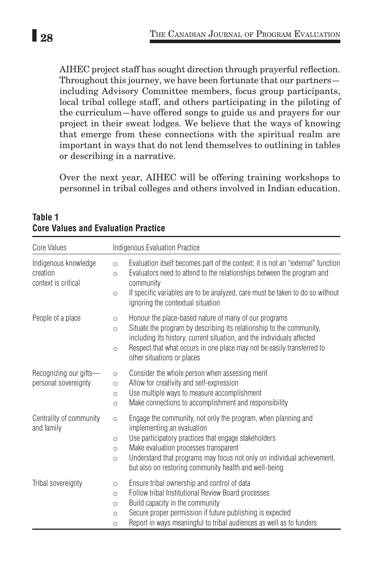AIHEC project staff has sought direction through prayerful reflection. Throughout this journey, we have been fortunate that our partners including Advisory Committee members, focus group participants, local tribal college staff, and others participating in the piloting of the curriculum—have offered songs to guide us and prayers for our project in their sweat lodges. We believe that the ways of knowing that emerge from these connections with the spiritual realm are important in ways that do not lend themselves to outlining in tables or describing in a narrative.

Over the next year, AIHEC will be offering training workshops to personnel in tribal colleges and others involved in Indian education.

| Core Values                                             | Indigenous Evaluation Practice                                                                                                                                                                                                                                                                                                                                              |
|---------------------------------------------------------|-----------------------------------------------------------------------------------------------------------------------------------------------------------------------------------------------------------------------------------------------------------------------------------------------------------------------------------------------------------------------------|
| Indigenous knowledge<br>creation<br>context is critical | Evaluation itself becomes part of the context; it is not an "external" function<br>$\circ$<br>Evaluators need to attend to the relationships between the program and<br>$\circ$<br>community<br>If specific variables are to be analyzed, care must be taken to do so without<br>$\circ$<br>ignoring the contextual situation                                               |
| People of a place                                       | Honour the place-based nature of many of our programs<br>$\circ$<br>Situate the program by describing its relationship to the community,<br>$\circ$<br>including its history, current situation, and the individuals affected<br>Respect that what occurs in one place may not be easily transferred to<br>$\circ$<br>other situations or places                            |
| Recognizing our gifts-<br>personal sovereignty          | Consider the whole person when assessing merit<br>$\circ$<br>Allow for creativity and self-expression<br>$\circ$<br>Use multiple ways to measure accomplishment<br>$\circ$<br>Make connections to accomplishment and responsibility<br>$\circ$                                                                                                                              |
| Centrality of community<br>and family                   | Engage the community, not only the program, when planning and<br>$\circ$<br>implementing an evaluation<br>Use participatory practices that engage stakeholders<br>$\circ$<br>Make evaluation processes transparent<br>$\circ$<br>Understand that programs may focus not only on individual achievement,<br>$\circ$<br>but also on restoring community health and well-being |
| Tribal sovereignty                                      | Ensure tribal ownership and control of data<br>$\circ$<br>Follow tribal Institutional Review Board processes<br>$\circ$<br>Build capacity in the community<br>$\circ$<br>Secure proper permission if future publishing is expected<br>$\circ$<br>Report in ways meaningful to tribal audiences as well as to funders<br>$\circ$                                             |

**Table 1 Core Values and Evaluation Practice**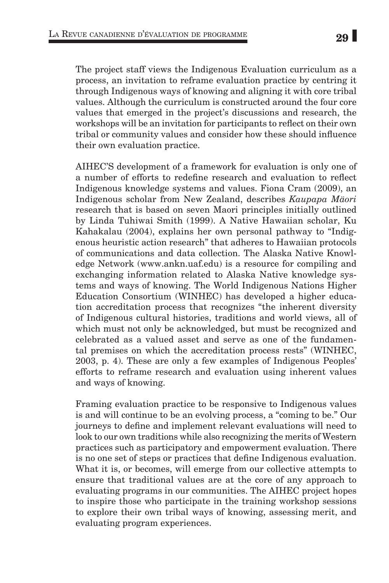The project staff views the Indigenous Evaluation curriculum as a process, an invitation to reframe evaluation practice by centring it through Indigenous ways of knowing and aligning it with core tribal values. Although the curriculum is constructed around the four core values that emerged in the project's discussions and research, the workshops will be an invitation for participants to reflect on their own tribal or community values and consider how these should influence their own evaluation practice.

AIHEC'S development of a framework for evaluation is only one of a number of efforts to redefine research and evaluation to reflect Indigenous knowledge systems and values. Fiona Cram (2009), an Indigenous scholar from New Zealand, describes *Kaupapa Mäori* research that is based on seven Maori principles initially outlined by Linda Tuhiwai Smith (1999). A Native Hawaiian scholar, Ku Kahakalau (2004), explains her own personal pathway to "Indigenous heuristic action research" that adheres to Hawaiian protocols of communications and data collection. The Alaska Native Knowledge Network (www.ankn.uaf.edu) is a resource for compiling and exchanging information related to Alaska Native knowledge systems and ways of knowing. The World Indigenous Nations Higher Education Consortium (WINHEC) has developed a higher education accreditation process that recognizes "the inherent diversity of Indigenous cultural histories, traditions and world views, all of which must not only be acknowledged, but must be recognized and celebrated as a valued asset and serve as one of the fundamental premises on which the accreditation process rests" (WINHEC, 2003, p. 4). These are only a few examples of Indigenous Peoples' efforts to reframe research and evaluation using inherent values and ways of knowing.

Framing evaluation practice to be responsive to Indigenous values is and will continue to be an evolving process, a "coming to be." Our journeys to define and implement relevant evaluations will need to look to our own traditions while also recognizing the merits of Western practices such as participatory and empowerment evaluation. There is no one set of steps or practices that define Indigenous evaluation. What it is, or becomes, will emerge from our collective attempts to ensure that traditional values are at the core of any approach to evaluating programs in our communities. The AIHEC project hopes to inspire those who participate in the training workshop sessions to explore their own tribal ways of knowing, assessing merit, and evaluating program experiences.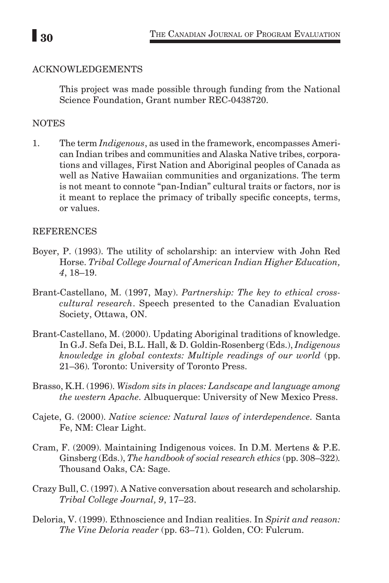## ACKNOWLEDGEMENTS

This project was made possible through funding from the National Science Foundation, Grant number REC-0438720.

## NOTES

1. The term *Indigenous*, as used in the framework, encompasses American Indian tribes and communities and Alaska Native tribes, corporations and villages, First Nation and Aboriginal peoples of Canada as well as Native Hawaiian communities and organizations. The term is not meant to connote "pan-Indian" cultural traits or factors, nor is it meant to replace the primacy of tribally specific concepts, terms, or values.

## REFERENCES

- Boyer, P. (1993). The utility of scholarship: an interview with John Red Horse. *Tribal College Journal of American Indian Higher Education, 4*, 18–19.
- Brant-Castellano, M. (1997, May). *Partnership: The key to ethical crosscultural research*. Speech presented to the Canadian Evaluation Society, Ottawa, ON.
- Brant-Castellano, M. (2000). Updating Aboriginal traditions of knowledge. In G.J. Sefa Dei, B.L. Hall, & D. Goldin-Rosenberg (Eds.), *Indigenous knowledge in global contexts: Multiple readings of our world* (pp. 21–36)*.* Toronto: University of Toronto Press.
- Brasso, K.H. (1996). *Wisdom sits in places: Landscape and language among the western Apache.* Albuquerque: University of New Mexico Press.
- Cajete, G. (2000). *Native science: Natural laws of interdependence.* Santa Fe, NM: Clear Light.
- Cram, F. (2009). Maintaining Indigenous voices. In D.M. Mertens & P.E. Ginsberg (Eds.), *The handbook of social research ethics* (pp. 308–322)*.*  Thousand Oaks, CA: Sage.
- Crazy Bull, C. (1997). A Native conversation about research and scholarship. *Tribal College Journal, 9*, 17–23.
- Deloria, V. (1999). Ethnoscience and Indian realities. In *Spirit and reason: The Vine Deloria reader* (pp. 63–71)*.* Golden, CO: Fulcrum.